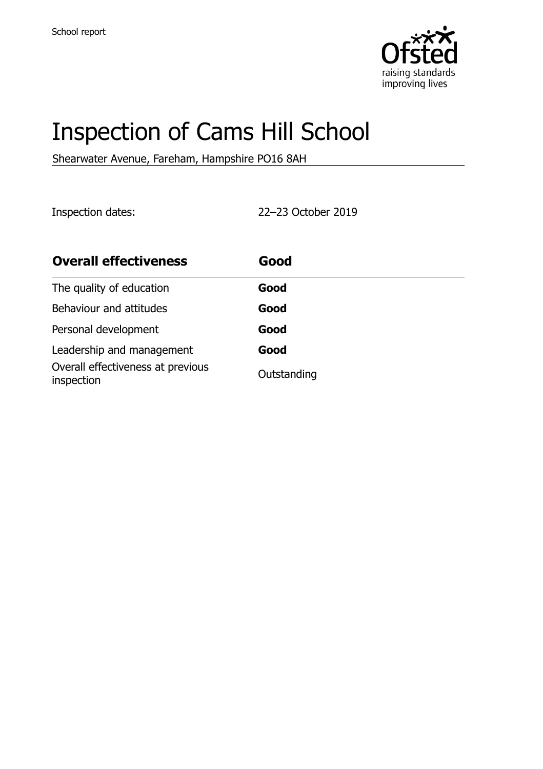

# Inspection of Cams Hill School

Shearwater Avenue, Fareham, Hampshire PO16 8AH

Inspection dates: 22–23 October 2019

| <b>Overall effectiveness</b>                    | Good        |
|-------------------------------------------------|-------------|
| The quality of education                        | Good        |
| Behaviour and attitudes                         | Good        |
| Personal development                            | Good        |
| Leadership and management                       | Good        |
| Overall effectiveness at previous<br>inspection | Outstanding |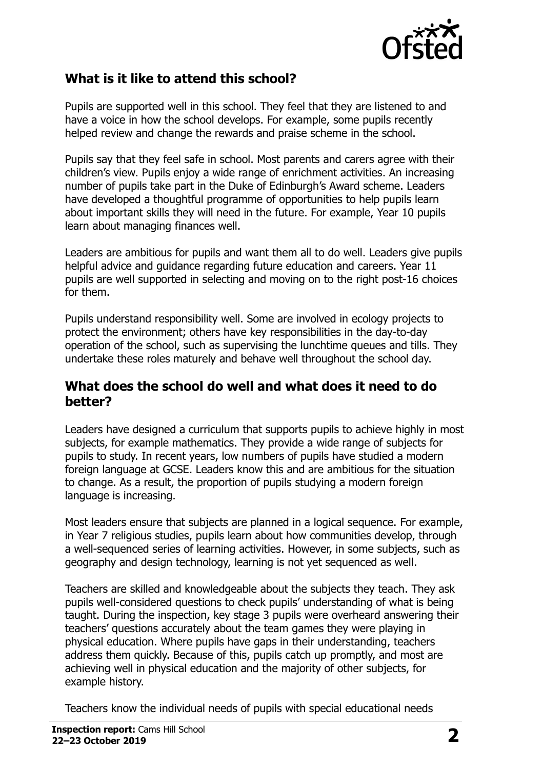

#### **What is it like to attend this school?**

Pupils are supported well in this school. They feel that they are listened to and have a voice in how the school develops. For example, some pupils recently helped review and change the rewards and praise scheme in the school.

Pupils say that they feel safe in school. Most parents and carers agree with their children's view. Pupils enjoy a wide range of enrichment activities. An increasing number of pupils take part in the Duke of Edinburgh's Award scheme. Leaders have developed a thoughtful programme of opportunities to help pupils learn about important skills they will need in the future. For example, Year 10 pupils learn about managing finances well.

Leaders are ambitious for pupils and want them all to do well. Leaders give pupils helpful advice and guidance regarding future education and careers. Year 11 pupils are well supported in selecting and moving on to the right post-16 choices for them.

Pupils understand responsibility well. Some are involved in ecology projects to protect the environment; others have key responsibilities in the day-to-day operation of the school, such as supervising the lunchtime queues and tills. They undertake these roles maturely and behave well throughout the school day.

#### **What does the school do well and what does it need to do better?**

Leaders have designed a curriculum that supports pupils to achieve highly in most subjects, for example mathematics. They provide a wide range of subjects for pupils to study. In recent years, low numbers of pupils have studied a modern foreign language at GCSE. Leaders know this and are ambitious for the situation to change. As a result, the proportion of pupils studying a modern foreign language is increasing.

Most leaders ensure that subjects are planned in a logical sequence. For example, in Year 7 religious studies, pupils learn about how communities develop, through a well-sequenced series of learning activities. However, in some subjects, such as geography and design technology, learning is not yet sequenced as well.

Teachers are skilled and knowledgeable about the subjects they teach. They ask pupils well-considered questions to check pupils' understanding of what is being taught. During the inspection, key stage 3 pupils were overheard answering their teachers' questions accurately about the team games they were playing in physical education. Where pupils have gaps in their understanding, teachers address them quickly. Because of this, pupils catch up promptly, and most are achieving well in physical education and the majority of other subjects, for example history.

Teachers know the individual needs of pupils with special educational needs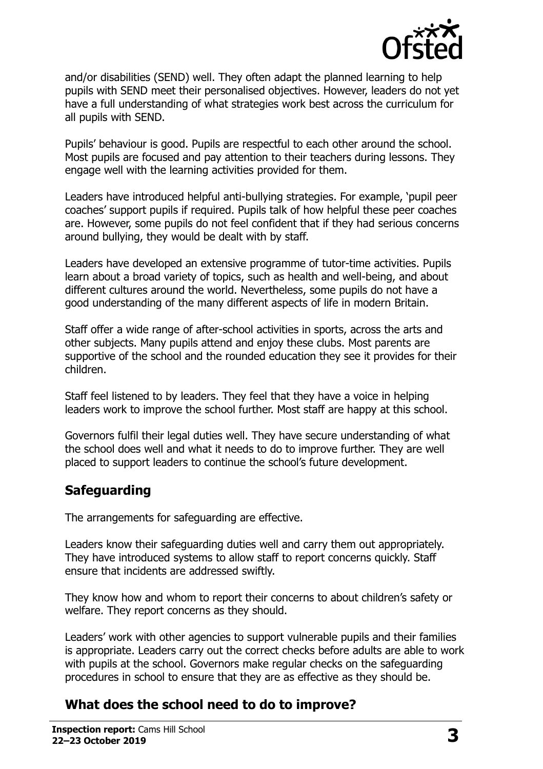

and/or disabilities (SEND) well. They often adapt the planned learning to help pupils with SEND meet their personalised objectives. However, leaders do not yet have a full understanding of what strategies work best across the curriculum for all pupils with SEND.

Pupils' behaviour is good. Pupils are respectful to each other around the school. Most pupils are focused and pay attention to their teachers during lessons. They engage well with the learning activities provided for them.

Leaders have introduced helpful anti-bullying strategies. For example, 'pupil peer coaches' support pupils if required. Pupils talk of how helpful these peer coaches are. However, some pupils do not feel confident that if they had serious concerns around bullying, they would be dealt with by staff.

Leaders have developed an extensive programme of tutor-time activities. Pupils learn about a broad variety of topics, such as health and well-being, and about different cultures around the world. Nevertheless, some pupils do not have a good understanding of the many different aspects of life in modern Britain.

Staff offer a wide range of after-school activities in sports, across the arts and other subjects. Many pupils attend and enjoy these clubs. Most parents are supportive of the school and the rounded education they see it provides for their children.

Staff feel listened to by leaders. They feel that they have a voice in helping leaders work to improve the school further. Most staff are happy at this school.

Governors fulfil their legal duties well. They have secure understanding of what the school does well and what it needs to do to improve further. They are well placed to support leaders to continue the school's future development.

## **Safeguarding**

The arrangements for safeguarding are effective.

Leaders know their safeguarding duties well and carry them out appropriately. They have introduced systems to allow staff to report concerns quickly. Staff ensure that incidents are addressed swiftly.

They know how and whom to report their concerns to about children's safety or welfare. They report concerns as they should.

Leaders' work with other agencies to support vulnerable pupils and their families is appropriate. Leaders carry out the correct checks before adults are able to work with pupils at the school. Governors make regular checks on the safeguarding procedures in school to ensure that they are as effective as they should be.

## **What does the school need to do to improve?**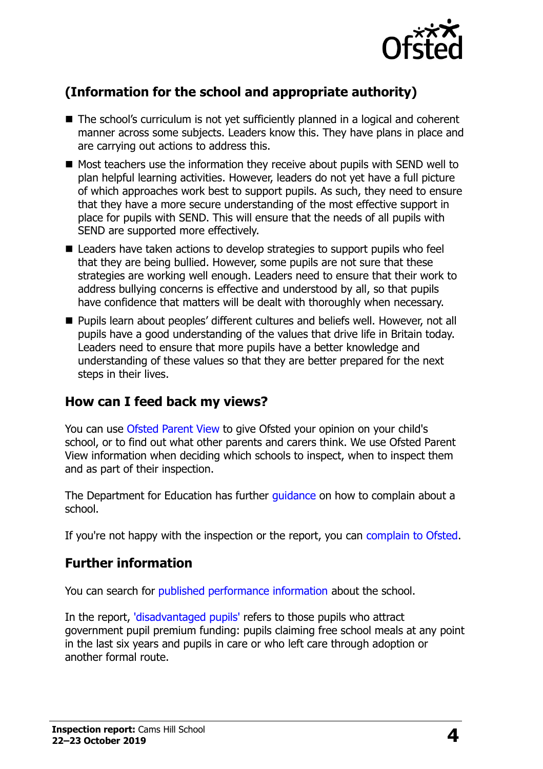

# **(Information for the school and appropriate authority)**

- The school's curriculum is not yet sufficiently planned in a logical and coherent manner across some subjects. Leaders know this. They have plans in place and are carrying out actions to address this.
- Most teachers use the information they receive about pupils with SEND well to plan helpful learning activities. However, leaders do not yet have a full picture of which approaches work best to support pupils. As such, they need to ensure that they have a more secure understanding of the most effective support in place for pupils with SEND. This will ensure that the needs of all pupils with SEND are supported more effectively.
- Leaders have taken actions to develop strategies to support pupils who feel that they are being bullied. However, some pupils are not sure that these strategies are working well enough. Leaders need to ensure that their work to address bullying concerns is effective and understood by all, so that pupils have confidence that matters will be dealt with thoroughly when necessary.
- Pupils learn about peoples' different cultures and beliefs well. However, not all pupils have a good understanding of the values that drive life in Britain today. Leaders need to ensure that more pupils have a better knowledge and understanding of these values so that they are better prepared for the next steps in their lives.

## **How can I feed back my views?**

You can use [Ofsted Parent View](http://parentview.ofsted.gov.uk/) to give Ofsted your opinion on your child's school, or to find out what other parents and carers think. We use Ofsted Parent View information when deciding which schools to inspect, when to inspect them and as part of their inspection.

The Department for Education has further quidance on how to complain about a school.

If you're not happy with the inspection or the report, you can [complain to Ofsted.](http://www.gov.uk/complain-ofsted-report)

#### **Further information**

You can search for [published performance information](http://www.compare-school-performance.service.gov.uk/) about the school.

In the report, ['disadvantaged pupils'](http://www.gov.uk/guidance/pupil-premium-information-for-schools-and-alternative-provision-settings) refers to those pupils who attract government pupil premium funding: pupils claiming free school meals at any point in the last six years and pupils in care or who left care through adoption or another formal route.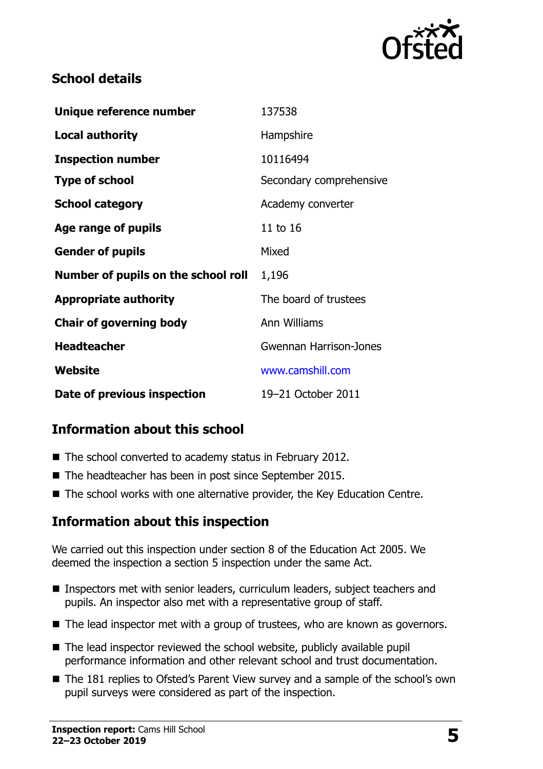

#### **School details**

| Unique reference number             | 137538                  |
|-------------------------------------|-------------------------|
| <b>Local authority</b>              | Hampshire               |
| <b>Inspection number</b>            | 10116494                |
| <b>Type of school</b>               | Secondary comprehensive |
| <b>School category</b>              | Academy converter       |
| Age range of pupils                 | 11 to 16                |
| <b>Gender of pupils</b>             | Mixed                   |
| Number of pupils on the school roll | 1,196                   |
| <b>Appropriate authority</b>        | The board of trustees   |
| <b>Chair of governing body</b>      | Ann Williams            |
| <b>Headteacher</b>                  | Gwennan Harrison-Jones  |
| Website                             | www.camshill.com        |
| Date of previous inspection         | 19-21 October 2011      |

## **Information about this school**

- The school converted to academy status in February 2012.
- The headteacher has been in post since September 2015.
- The school works with one alternative provider, the Key Education Centre.

## **Information about this inspection**

We carried out this inspection under section 8 of the Education Act 2005. We deemed the inspection a section 5 inspection under the same Act.

- Inspectors met with senior leaders, curriculum leaders, subject teachers and pupils. An inspector also met with a representative group of staff.
- The lead inspector met with a group of trustees, who are known as governors.
- $\blacksquare$  The lead inspector reviewed the school website, publicly available pupil performance information and other relevant school and trust documentation.
- The 181 replies to Ofsted's Parent View survey and a sample of the school's own pupil surveys were considered as part of the inspection.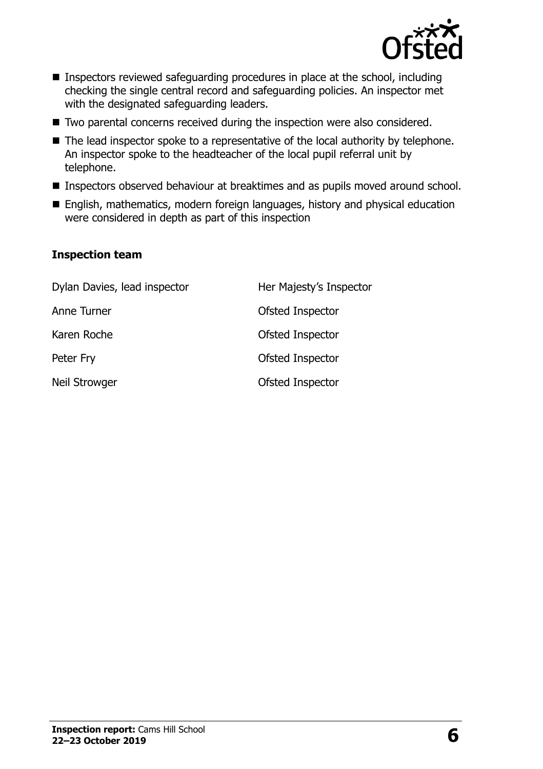

- Inspectors reviewed safeguarding procedures in place at the school, including checking the single central record and safeguarding policies. An inspector met with the designated safeguarding leaders.
- Two parental concerns received during the inspection were also considered.
- The lead inspector spoke to a representative of the local authority by telephone. An inspector spoke to the headteacher of the local pupil referral unit by telephone.
- **Inspectors observed behaviour at breaktimes and as pupils moved around school.**
- English, mathematics, modern foreign languages, history and physical education were considered in depth as part of this inspection

#### **Inspection team**

| Dylan Davies, lead inspector | Her Majesty's Inspector |
|------------------------------|-------------------------|
| Anne Turner                  | Ofsted Inspector        |
| Karen Roche                  | Ofsted Inspector        |
| Peter Fry                    | Ofsted Inspector        |
| Neil Strowger                | Ofsted Inspector        |